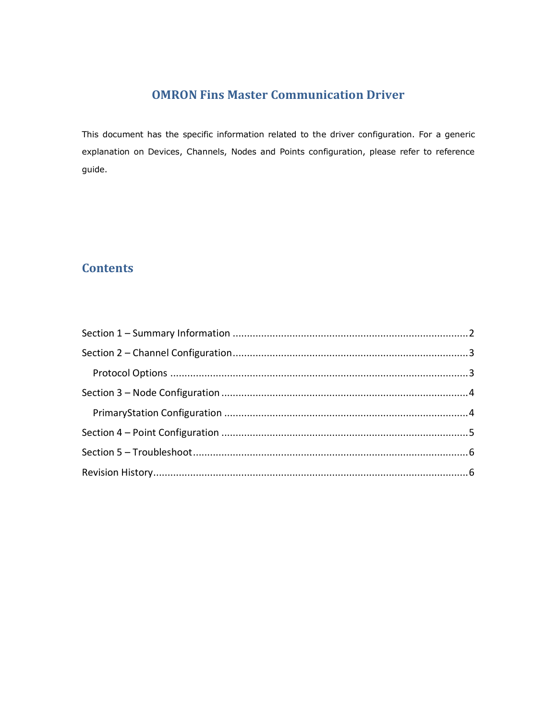# **OMRON Fins Master Communication Driver**

This document has the specific information related to the driver configuration. For a generic explanation on Devices, Channels, Nodes and Points configuration, please refer to reference guide.

# **Contents**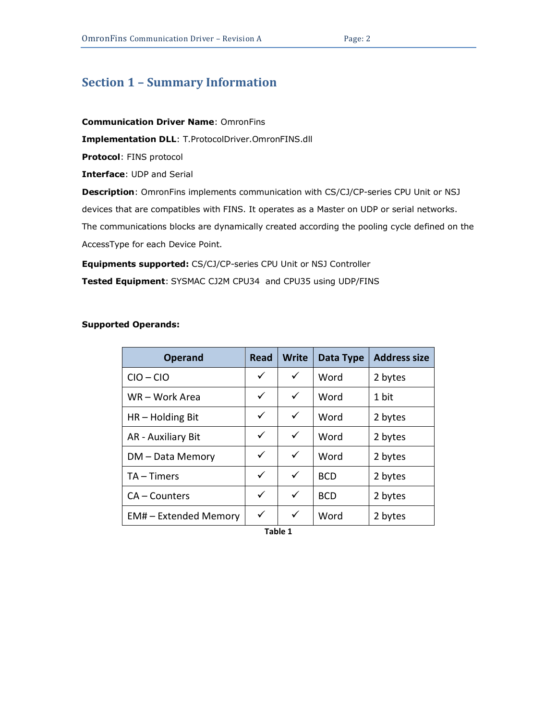# <span id="page-1-0"></span>**Section 1 – Summary Information**

### **Communication Driver Name**: OmronFins

**Implementation DLL**: T.ProtocolDriver.OmronFINS.dll

**Protocol**: FINS protocol

**Interface**: UDP and Serial

**Description**: OmronFins implements communication with CS/CJ/CP-series CPU Unit or NSJ

devices that are compatibles with FINS. It operates as a Master on UDP or serial networks.

The communications blocks are dynamically created according the pooling cycle defined on the AccessType for each Device Point.

**Equipments supported:** CS/CJ/CP-series CPU Unit or NSJ Controller

**Tested Equipment**: SYSMAC CJ2M CPU34 and CPU35 using UDP/FINS

## <span id="page-1-1"></span>**Supported Operands:**

| <b>Operand</b>             | <b>Read</b>  | <b>Write</b> | Data Type  | <b>Address size</b> |
|----------------------------|--------------|--------------|------------|---------------------|
| $CIO - CIO$                | ✓            | ✓            | Word       | 2 bytes             |
| WR-Work Area               | ✓            | ✓            | Word       | 1 bit               |
| $HR - Holding Bit$         | ✓            | ✓            | Word       | 2 bytes             |
| AR - Auxiliary Bit         | $\checkmark$ | ✓            | Word       | 2 bytes             |
| DM - Data Memory           | $\checkmark$ | $\checkmark$ | Word       | 2 bytes             |
| $TA - Times$               | ✓            | $\checkmark$ | <b>BCD</b> | 2 bytes             |
| CA – Counters              | ✓            | $\checkmark$ | <b>BCD</b> | 2 bytes             |
| <b>EM#-Extended Memory</b> | ✓            | ✓            | Word       | 2 bytes             |

**Table 1**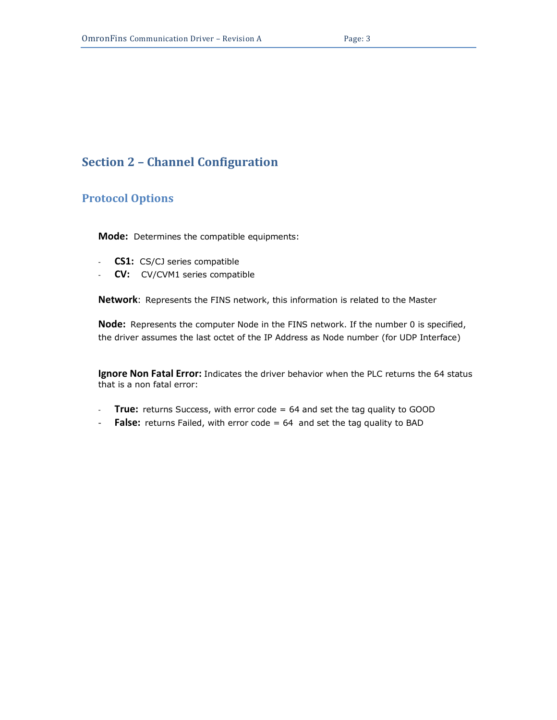## <span id="page-2-0"></span>**Section 2 – Channel Configuration**

## <span id="page-2-1"></span>**Protocol Options**

**Mode:** Determines the compatible equipments:

- **CS1:** CS/CJ series compatible
- **CV:** CV/CVM1 series compatible

**Network**: Represents the FINS network, this information is related to the Master

**Node:** Represents the computer Node in the FINS network. If the number 0 is specified, the driver assumes the last octet of the IP Address as Node number (for UDP Interface)

**Ignore Non Fatal Error:** Indicates the driver behavior when the PLC returns the 64 status that is a non fatal error:

- **True:** returns Success, with error code = 64 and set the tag quality to GOOD
- **False:** returns Failed, with error code = 64 and set the tag quality to BAD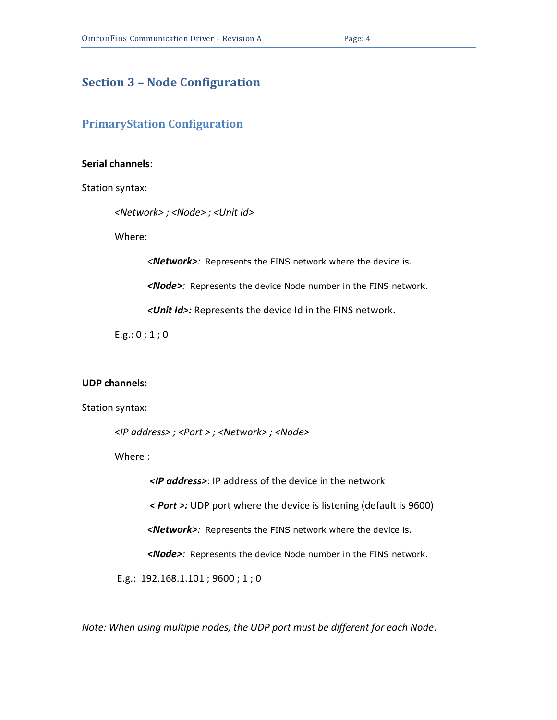## <span id="page-3-0"></span>**Section 3 – Node Configuration**

## <span id="page-3-1"></span>**PrimaryStation Configuration**

#### **Serial channels**:

Station syntax:

*<Network> ; <Node> ; <Unit Id>*

Where:

*<Network>:* Represents the FINS network where the device is.

*<Node>:* Represents the device Node number in the FINS network.

*<Unit Id>:* Represents the device Id in the FINS network.

 $E.g.: 0; 1; 0$ 

### **UDP channels:**

Station syntax:

<*IP address> ; <Port > ; <Network> ; <Node>*

Where :

*<IP address>*: IP address of the device in the network *< Port >:* UDP port where the device is listening (default is 9600)

*<Network>:* Represents the FINS network where the device is.

*<Node>:* Represents the device Node number in the FINS network.

E.g.: 192.168.1.101 ; 9600 ; 1 ; 0

*Note: When using multiple nodes, the UDP port must be different for each Node.*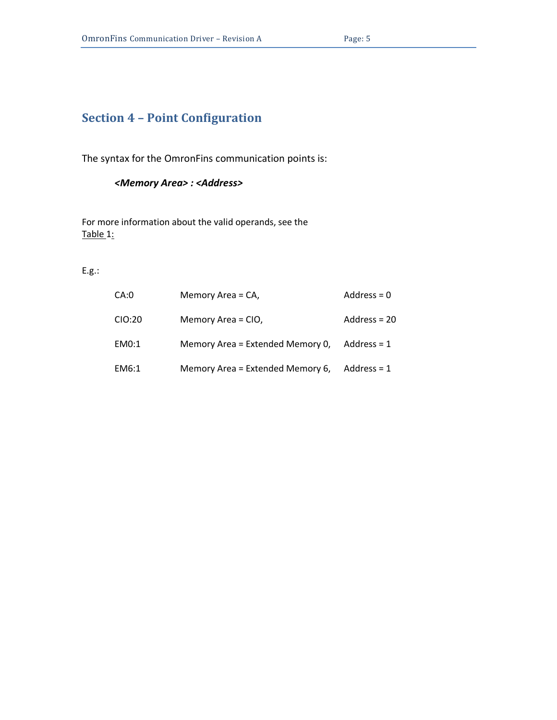# <span id="page-4-0"></span>**Section 4 – Point Configuration**

The syntax for the OmronFins communication points is:

### *<Memory Area> : <Address>*

For more information about the valid operands, see the [Table 1:](#page-1-1)

E.g.:

| CA:0   | Memory Area = CA,                | Address = $0$ |
|--------|----------------------------------|---------------|
| CIO:20 | Memory Area = CIO,               | Address = 20  |
| EM0:1  | Memory Area = Extended Memory 0, | Address = $1$ |
| EM6:1  | Memory Area = Extended Memory 6, | Address = $1$ |